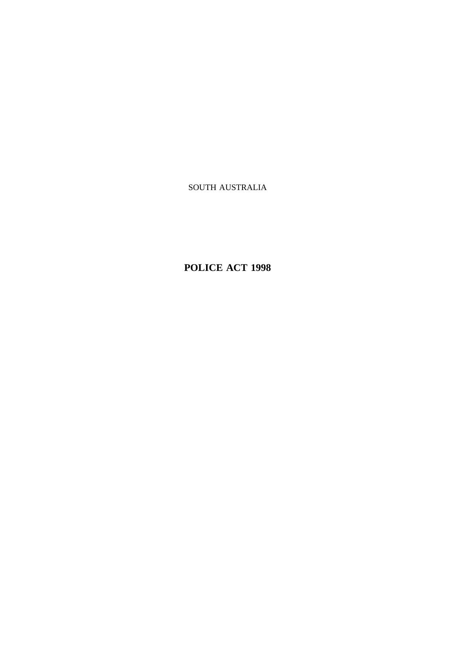SOUTH AUSTRALIA

**POLICE ACT 1998**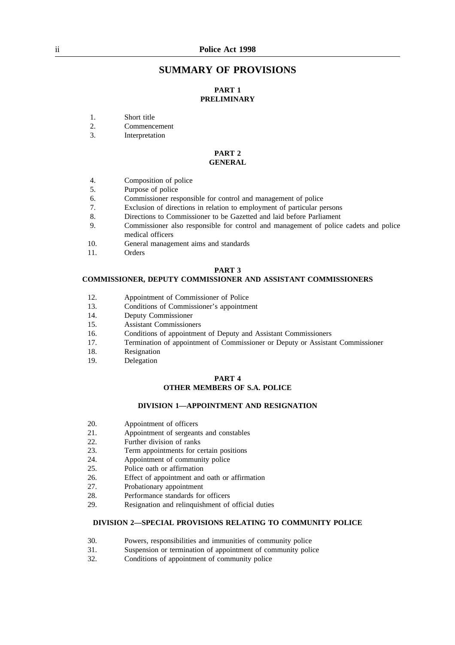## **SUMMARY OF PROVISIONS**

## **PART 1 PRELIMINARY**

- 1. Short title
- 2. Commencement
- 3. Interpretation

#### **PART 2 GENERAL**

- 4. Composition of police
- 5. Purpose of police
- 6. Commissioner responsible for control and management of police
- 7. Exclusion of directions in relation to employment of particular persons
- 8. Directions to Commissioner to be Gazetted and laid before Parliament
- 9. Commissioner also responsible for control and management of police cadets and police medical officers
- 10. General management aims and standards
- 11. Orders

## **PART 3**

#### **COMMISSIONER, DEPUTY COMMISSIONER AND ASSISTANT COMMISSIONERS**

- 12. Appointment of Commissioner of Police<br>13. Conditions of Commissioner's appointment
- 13. Conditions of Commissioner's appointment
- 14. Deputy Commissioner
- 15. Assistant Commissioners
- 16. Conditions of appointment of Deputy and Assistant Commissioners
- 17. Termination of appointment of Commissioner or Deputy or Assistant Commissioner
- 18. Resignation
- 19. Delegation

## **PART 4 OTHER MEMBERS OF S.A. POLICE**

#### **DIVISION 1—APPOINTMENT AND RESIGNATION**

- 20. Appointment of officers
- 21. Appointment of sergeants and constables
- 22. Further division of ranks<br>23. Term appointments for co
- Term appointments for certain positions
- 24. Appointment of community police
- 25. Police oath or affirmation
- 26. Effect of appointment and oath or affirmation
- 27. Probationary appointment
- 28. Performance standards for officers
- 29. Resignation and relinquishment of official duties

#### **DIVISION 2—SPECIAL PROVISIONS RELATING TO COMMUNITY POLICE**

- 30. Powers, responsibilities and immunities of community police
- 31. Suspension or termination of appointment of community police
- 32. Conditions of appointment of community police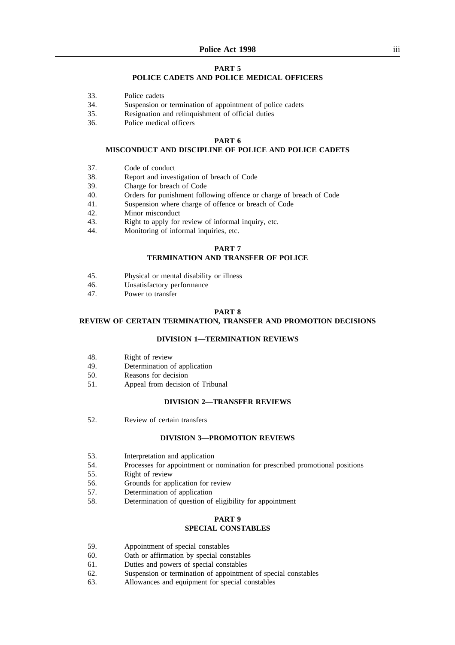## **PART 5**

#### **POLICE CADETS AND POLICE MEDICAL OFFICERS**

- 33. Police cadets
- 34. Suspension or termination of appointment of police cadets
- 35. Resignation and relinquishment of official duties
- 36. Police medical officers

#### **PART 6**

## **MISCONDUCT AND DISCIPLINE OF POLICE AND POLICE CADETS**

- 37. Code of conduct
- 38. Report and investigation of breach of Code
- 39. Charge for breach of Code
- 40. Orders for punishment following offence or charge of breach of Code
- 41. Suspension where charge of offence or breach of Code
- 42. Minor misconduct
- 43. Right to apply for review of informal inquiry, etc.
- 44. Monitoring of informal inquiries, etc.

#### **PART 7**

#### **TERMINATION AND TRANSFER OF POLICE**

- 45. Physical or mental disability or illness
- 46. Unsatisfactory performance
- 47. Power to transfer

#### **PART 8**

## **REVIEW OF CERTAIN TERMINATION, TRANSFER AND PROMOTION DECISIONS**

#### **DIVISION 1—TERMINATION REVIEWS**

- 48. Right of review
- 49. Determination of application
- 50. Reasons for decision
- 51. Appeal from decision of Tribunal

#### **DIVISION 2—TRANSFER REVIEWS**

52. Review of certain transfers

#### **DIVISION 3—PROMOTION REVIEWS**

- 53. Interpretation and application
- 54. Processes for appointment or nomination for prescribed promotional positions
- 55. Right of review
- 56. Grounds for application for review
- 57. Determination of application
- 58. Determination of question of eligibility for appointment

# **PART 9**

## **SPECIAL CONSTABLES**

- 59. Appointment of special constables
- 60. Oath or affirmation by special constables
- 61. Duties and powers of special constables
- 62. Suspension or termination of appointment of special constables
- 63. Allowances and equipment for special constables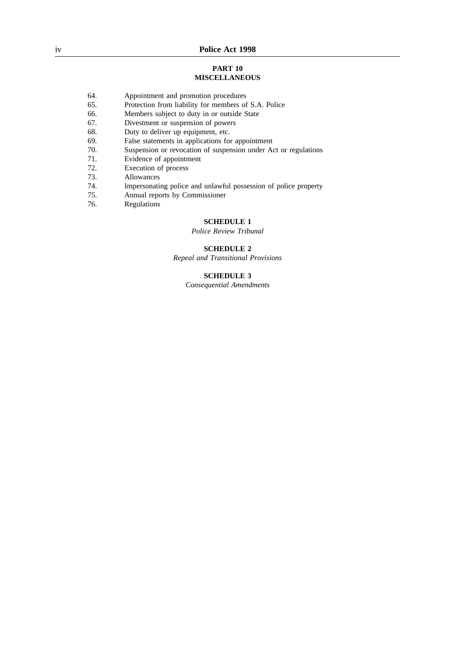#### **PART 10 MISCELLANEOUS**

- 64. Appointment and promotion procedures
- 65. Protection from liability for members of S.A. Police
- 66. Members subject to duty in or outside State
- 67. Divestment or suspension of powers<br>68. Duty to deliver up equipment, etc.
- Duty to deliver up equipment, etc.
- 69. False statements in applications for appointment<br>70. Suspension or revocation of suspension under A
- Suspension or revocation of suspension under Act or regulations
- 71. Evidence of appointment
- 72. Execution of process
- 73. Allowances
- 74. Impersonating police and unlawful possession of police property
- 75. Annual reports by Commissioner
- 76. Regulations

## **SCHEDULE 1**

*Police Review Tribunal*

## **SCHEDULE 2**

*Repeal and Transitional Provisions*

## **SCHEDULE 3**

*Consequential Amendments*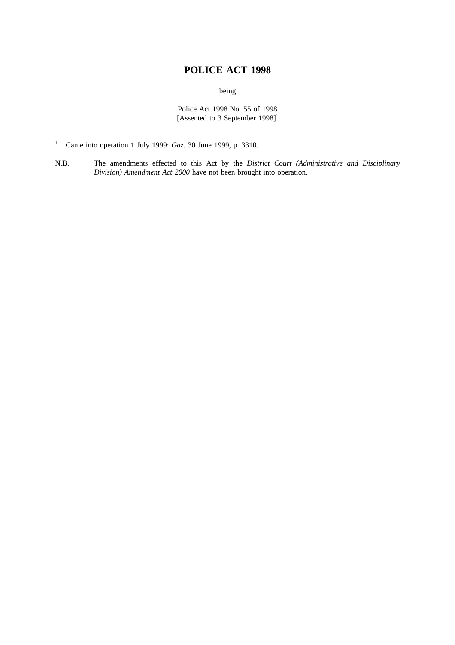# **POLICE ACT 1998**

being

Police Act 1998 No. 55 of 1998 [Assented to 3 September 1998]<sup>1</sup>

- <sup>1</sup> Came into operation 1 July 1999: *Gaz*. 30 June 1999, p. 3310.
- N.B. The amendments effected to this Act by the *District Court (Administrative and Disciplinary Division) Amendment Act 2000* have not been brought into operation.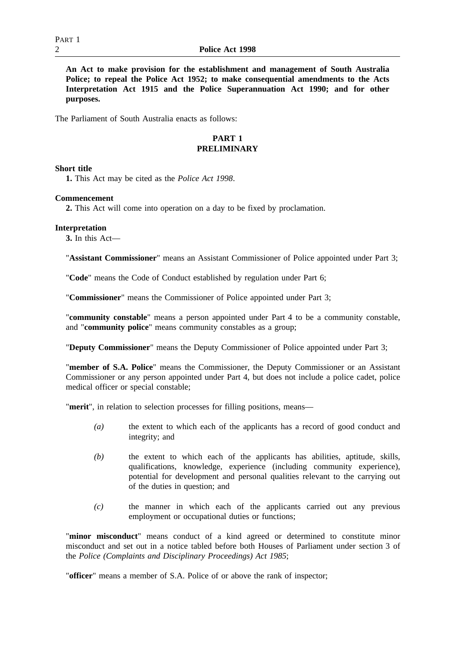**An Act to make provision for the establishment and management of South Australia Police; to repeal the Police Act 1952; to make consequential amendments to the Acts Interpretation Act 1915 and the Police Superannuation Act 1990; and for other purposes.**

The Parliament of South Australia enacts as follows:

## **PART 1 PRELIMINARY**

## **Short title**

**1.** This Act may be cited as the *Police Act 1998*.

## **Commencement**

**2.** This Act will come into operation on a day to be fixed by proclamation.

## **Interpretation**

**3.** In this Act—

"**Assistant Commissioner**" means an Assistant Commissioner of Police appointed under Part 3;

"**Code**" means the Code of Conduct established by regulation under Part 6;

"**Commissioner**" means the Commissioner of Police appointed under Part 3;

"**community constable**" means a person appointed under Part 4 to be a community constable, and "**community police**" means community constables as a group;

"**Deputy Commissioner**" means the Deputy Commissioner of Police appointed under Part 3;

"**member of S.A. Police**" means the Commissioner, the Deputy Commissioner or an Assistant Commissioner or any person appointed under Part 4, but does not include a police cadet, police medical officer or special constable;

"**merit**", in relation to selection processes for filling positions, means—

- *(a)* the extent to which each of the applicants has a record of good conduct and integrity; and
- *(b)* the extent to which each of the applicants has abilities, aptitude, skills, qualifications, knowledge, experience (including community experience), potential for development and personal qualities relevant to the carrying out of the duties in question; and
- *(c)* the manner in which each of the applicants carried out any previous employment or occupational duties or functions;

"**minor misconduct**" means conduct of a kind agreed or determined to constitute minor misconduct and set out in a notice tabled before both Houses of Parliament under section 3 of the *Police (Complaints and Disciplinary Proceedings) Act 1985*;

"**officer**" means a member of S.A. Police of or above the rank of inspector;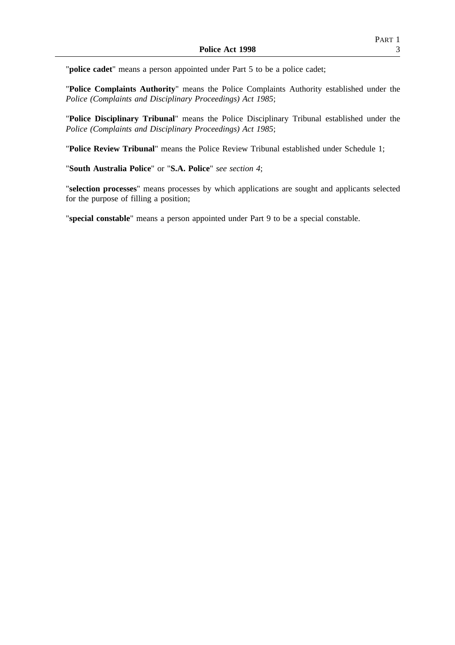"**police cadet**" means a person appointed under Part 5 to be a police cadet;

"**Police Complaints Authority**" means the Police Complaints Authority established under the *Police (Complaints and Disciplinary Proceedings) Act 1985*;

"**Police Disciplinary Tribunal**" means the Police Disciplinary Tribunal established under the *Police (Complaints and Disciplinary Proceedings) Act 1985*;

"**Police Review Tribunal**" means the Police Review Tribunal established under Schedule 1;

"**South Australia Police**" or "**S.A. Police**" *see section 4*;

"**selection processes**" means processes by which applications are sought and applicants selected for the purpose of filling a position;

"**special constable**" means a person appointed under Part 9 to be a special constable.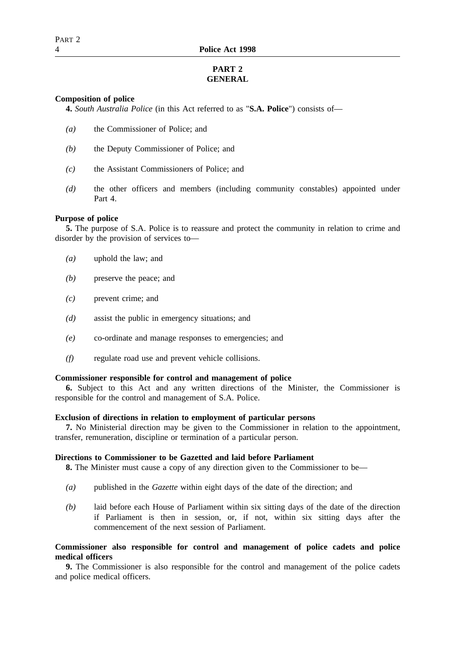# **PART 2 GENERAL**

## **Composition of police**

**4.** *South Australia Police* (in this Act referred to as "**S.A. Police**") consists of—

- *(a)* the Commissioner of Police; and
- *(b)* the Deputy Commissioner of Police; and
- *(c)* the Assistant Commissioners of Police; and
- *(d)* the other officers and members (including community constables) appointed under Part 4.

## **Purpose of police**

**5.** The purpose of S.A. Police is to reassure and protect the community in relation to crime and disorder by the provision of services to—

- *(a)* uphold the law; and
- *(b)* preserve the peace; and
- *(c)* prevent crime; and
- *(d)* assist the public in emergency situations; and
- *(e)* co-ordinate and manage responses to emergencies; and
- *(f)* regulate road use and prevent vehicle collisions.

## **Commissioner responsible for control and management of police**

**6.** Subject to this Act and any written directions of the Minister, the Commissioner is responsible for the control and management of S.A. Police.

## **Exclusion of directions in relation to employment of particular persons**

**7.** No Ministerial direction may be given to the Commissioner in relation to the appointment, transfer, remuneration, discipline or termination of a particular person.

## **Directions to Commissioner to be Gazetted and laid before Parliament**

**8.** The Minister must cause a copy of any direction given to the Commissioner to be—

- *(a)* published in the *Gazette* within eight days of the date of the direction; and
- *(b)* laid before each House of Parliament within six sitting days of the date of the direction if Parliament is then in session, or, if not, within six sitting days after the commencement of the next session of Parliament.

## **Commissioner also responsible for control and management of police cadets and police medical officers**

**9.** The Commissioner is also responsible for the control and management of the police cadets and police medical officers.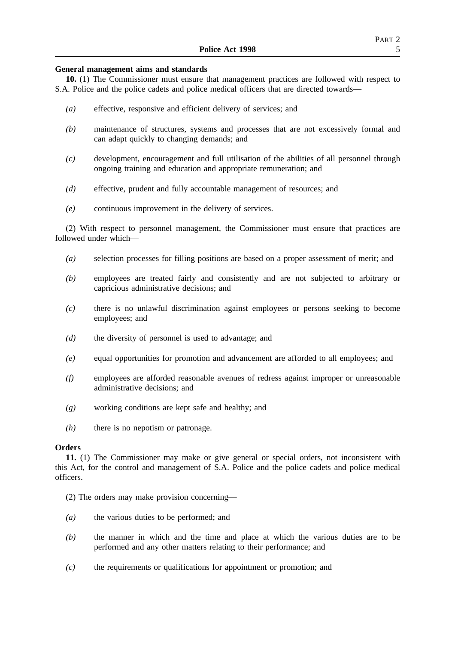## **General management aims and standards**

**10.** (1) The Commissioner must ensure that management practices are followed with respect to S.A. Police and the police cadets and police medical officers that are directed towards—

- *(a)* effective, responsive and efficient delivery of services; and
- *(b)* maintenance of structures, systems and processes that are not excessively formal and can adapt quickly to changing demands; and
- *(c)* development, encouragement and full utilisation of the abilities of all personnel through ongoing training and education and appropriate remuneration; and
- *(d)* effective, prudent and fully accountable management of resources; and
- *(e)* continuous improvement in the delivery of services.

(2) With respect to personnel management, the Commissioner must ensure that practices are followed under which—

- *(a)* selection processes for filling positions are based on a proper assessment of merit; and
- *(b)* employees are treated fairly and consistently and are not subjected to arbitrary or capricious administrative decisions; and
- *(c)* there is no unlawful discrimination against employees or persons seeking to become employees; and
- *(d)* the diversity of personnel is used to advantage; and
- *(e)* equal opportunities for promotion and advancement are afforded to all employees; and
- *(f)* employees are afforded reasonable avenues of redress against improper or unreasonable administrative decisions; and
- *(g)* working conditions are kept safe and healthy; and
- *(h)* there is no nepotism or patronage.

## **Orders**

**11.** (1) The Commissioner may make or give general or special orders, not inconsistent with this Act, for the control and management of S.A. Police and the police cadets and police medical officers.

- (2) The orders may make provision concerning—
- *(a)* the various duties to be performed; and
- *(b)* the manner in which and the time and place at which the various duties are to be performed and any other matters relating to their performance; and
- *(c)* the requirements or qualifications for appointment or promotion; and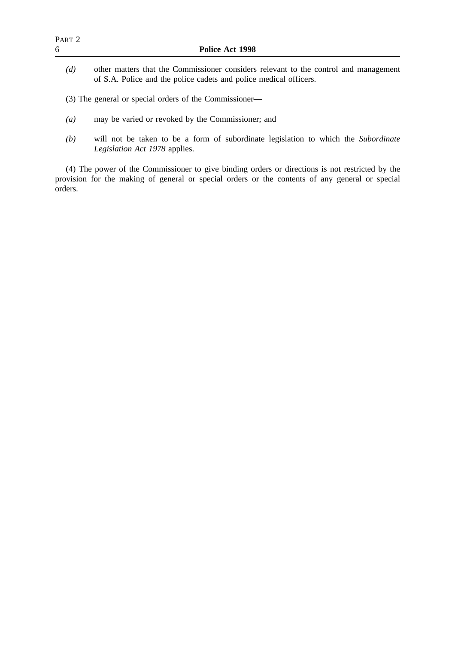- *(a)* may be varied or revoked by the Commissioner; and
- *(b)* will not be taken to be a form of subordinate legislation to which the *Subordinate Legislation Act 1978* applies.

(4) The power of the Commissioner to give binding orders or directions is not restricted by the provision for the making of general or special orders or the contents of any general or special orders.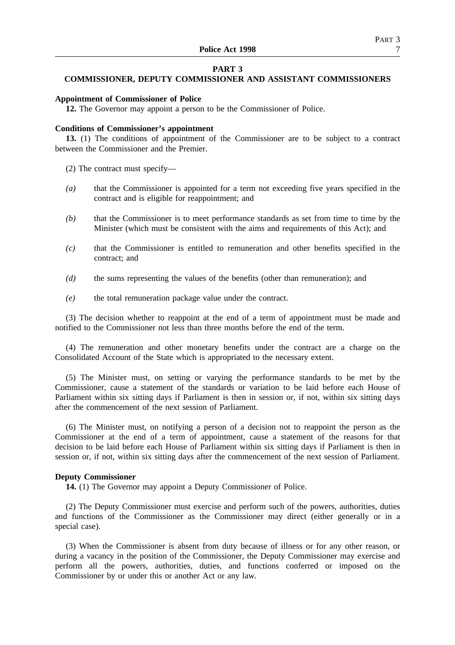## **PART 3**

## **COMMISSIONER, DEPUTY COMMISSIONER AND ASSISTANT COMMISSIONERS**

#### **Appointment of Commissioner of Police**

**12.** The Governor may appoint a person to be the Commissioner of Police.

#### **Conditions of Commissioner's appointment**

**13.** (1) The conditions of appointment of the Commissioner are to be subject to a contract between the Commissioner and the Premier.

(2) The contract must specify—

- *(a)* that the Commissioner is appointed for a term not exceeding five years specified in the contract and is eligible for reappointment; and
- *(b)* that the Commissioner is to meet performance standards as set from time to time by the Minister (which must be consistent with the aims and requirements of this Act); and
- *(c)* that the Commissioner is entitled to remuneration and other benefits specified in the contract; and
- *(d)* the sums representing the values of the benefits (other than remuneration); and
- *(e)* the total remuneration package value under the contract.

(3) The decision whether to reappoint at the end of a term of appointment must be made and notified to the Commissioner not less than three months before the end of the term.

(4) The remuneration and other monetary benefits under the contract are a charge on the Consolidated Account of the State which is appropriated to the necessary extent.

(5) The Minister must, on setting or varying the performance standards to be met by the Commissioner, cause a statement of the standards or variation to be laid before each House of Parliament within six sitting days if Parliament is then in session or, if not, within six sitting days after the commencement of the next session of Parliament.

(6) The Minister must, on notifying a person of a decision not to reappoint the person as the Commissioner at the end of a term of appointment, cause a statement of the reasons for that decision to be laid before each House of Parliament within six sitting days if Parliament is then in session or, if not, within six sitting days after the commencement of the next session of Parliament.

#### **Deputy Commissioner**

**14.** (1) The Governor may appoint a Deputy Commissioner of Police.

(2) The Deputy Commissioner must exercise and perform such of the powers, authorities, duties and functions of the Commissioner as the Commissioner may direct (either generally or in a special case).

(3) When the Commissioner is absent from duty because of illness or for any other reason, or during a vacancy in the position of the Commissioner, the Deputy Commissioner may exercise and perform all the powers, authorities, duties, and functions conferred or imposed on the Commissioner by or under this or another Act or any law.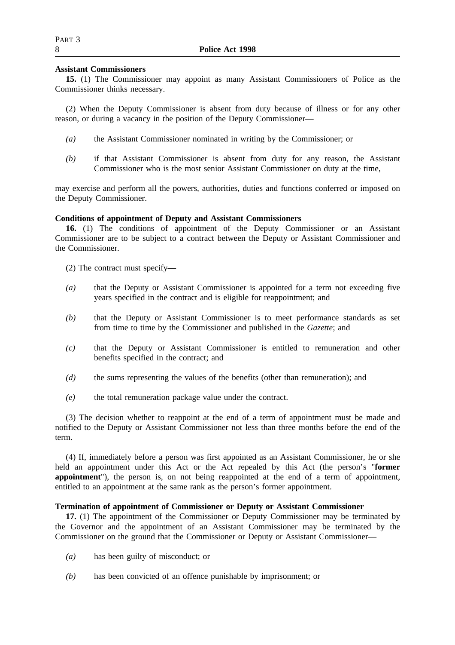## **Assistant Commissioners**

**15.** (1) The Commissioner may appoint as many Assistant Commissioners of Police as the Commissioner thinks necessary.

(2) When the Deputy Commissioner is absent from duty because of illness or for any other reason, or during a vacancy in the position of the Deputy Commissioner—

- *(a)* the Assistant Commissioner nominated in writing by the Commissioner; or
- *(b)* if that Assistant Commissioner is absent from duty for any reason, the Assistant Commissioner who is the most senior Assistant Commissioner on duty at the time,

may exercise and perform all the powers, authorities, duties and functions conferred or imposed on the Deputy Commissioner.

## **Conditions of appointment of Deputy and Assistant Commissioners**

**16.** (1) The conditions of appointment of the Deputy Commissioner or an Assistant Commissioner are to be subject to a contract between the Deputy or Assistant Commissioner and the Commissioner.

- (2) The contract must specify—
- *(a)* that the Deputy or Assistant Commissioner is appointed for a term not exceeding five years specified in the contract and is eligible for reappointment; and
- *(b)* that the Deputy or Assistant Commissioner is to meet performance standards as set from time to time by the Commissioner and published in the *Gazette*; and
- *(c)* that the Deputy or Assistant Commissioner is entitled to remuneration and other benefits specified in the contract; and
- *(d)* the sums representing the values of the benefits (other than remuneration); and
- *(e)* the total remuneration package value under the contract.

(3) The decision whether to reappoint at the end of a term of appointment must be made and notified to the Deputy or Assistant Commissioner not less than three months before the end of the term.

(4) If, immediately before a person was first appointed as an Assistant Commissioner, he or she held an appointment under this Act or the Act repealed by this Act (the person's "**former appointment**"), the person is, on not being reappointed at the end of a term of appointment, entitled to an appointment at the same rank as the person's former appointment.

## **Termination of appointment of Commissioner or Deputy or Assistant Commissioner**

**17.** (1) The appointment of the Commissioner or Deputy Commissioner may be terminated by the Governor and the appointment of an Assistant Commissioner may be terminated by the Commissioner on the ground that the Commissioner or Deputy or Assistant Commissioner—

- *(a)* has been guilty of misconduct; or
- *(b)* has been convicted of an offence punishable by imprisonment; or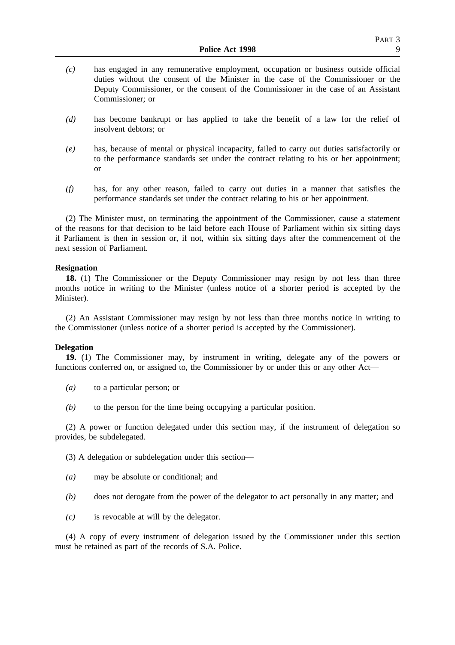- *(c)* has engaged in any remunerative employment, occupation or business outside official duties without the consent of the Minister in the case of the Commissioner or the Deputy Commissioner, or the consent of the Commissioner in the case of an Assistant Commissioner; or
- *(d)* has become bankrupt or has applied to take the benefit of a law for the relief of insolvent debtors; or
- *(e)* has, because of mental or physical incapacity, failed to carry out duties satisfactorily or to the performance standards set under the contract relating to his or her appointment; or
- *(f)* has, for any other reason, failed to carry out duties in a manner that satisfies the performance standards set under the contract relating to his or her appointment.

(2) The Minister must, on terminating the appointment of the Commissioner, cause a statement of the reasons for that decision to be laid before each House of Parliament within six sitting days if Parliament is then in session or, if not, within six sitting days after the commencement of the next session of Parliament.

#### **Resignation**

**18.** (1) The Commissioner or the Deputy Commissioner may resign by not less than three months notice in writing to the Minister (unless notice of a shorter period is accepted by the Minister).

(2) An Assistant Commissioner may resign by not less than three months notice in writing to the Commissioner (unless notice of a shorter period is accepted by the Commissioner).

### **Delegation**

**19.** (1) The Commissioner may, by instrument in writing, delegate any of the powers or functions conferred on, or assigned to, the Commissioner by or under this or any other Act—

*(a)* to a particular person; or

*(b)* to the person for the time being occupying a particular position.

(2) A power or function delegated under this section may, if the instrument of delegation so provides, be subdelegated.

(3) A delegation or subdelegation under this section—

- *(a)* may be absolute or conditional; and
- *(b)* does not derogate from the power of the delegator to act personally in any matter; and
- *(c)* is revocable at will by the delegator.

(4) A copy of every instrument of delegation issued by the Commissioner under this section must be retained as part of the records of S.A. Police.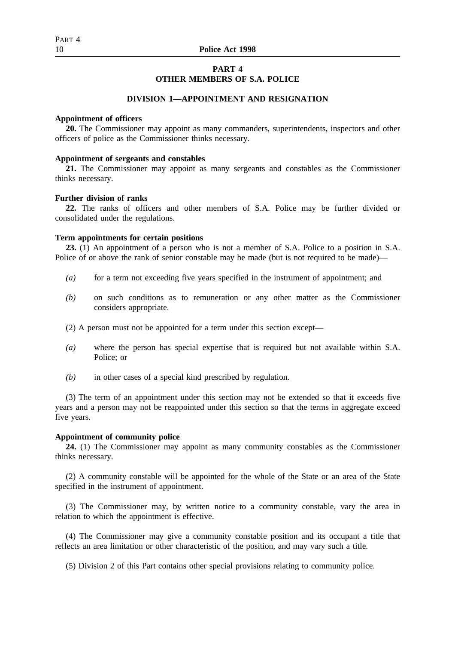## **PART 4**

## **OTHER MEMBERS OF S.A. POLICE**

## **DIVISION 1—APPOINTMENT AND RESIGNATION**

#### **Appointment of officers**

**20.** The Commissioner may appoint as many commanders, superintendents, inspectors and other officers of police as the Commissioner thinks necessary.

#### **Appointment of sergeants and constables**

**21.** The Commissioner may appoint as many sergeants and constables as the Commissioner thinks necessary.

## **Further division of ranks**

**22.** The ranks of officers and other members of S.A. Police may be further divided or consolidated under the regulations.

#### **Term appointments for certain positions**

**23.** (1) An appointment of a person who is not a member of S.A. Police to a position in S.A. Police of or above the rank of senior constable may be made (but is not required to be made)—

- *(a)* for a term not exceeding five years specified in the instrument of appointment; and
- *(b)* on such conditions as to remuneration or any other matter as the Commissioner considers appropriate.
- (2) A person must not be appointed for a term under this section except—
- *(a)* where the person has special expertise that is required but not available within S.A. Police; or
- *(b)* in other cases of a special kind prescribed by regulation.

(3) The term of an appointment under this section may not be extended so that it exceeds five years and a person may not be reappointed under this section so that the terms in aggregate exceed five years.

#### **Appointment of community police**

**24.** (1) The Commissioner may appoint as many community constables as the Commissioner thinks necessary.

(2) A community constable will be appointed for the whole of the State or an area of the State specified in the instrument of appointment.

(3) The Commissioner may, by written notice to a community constable, vary the area in relation to which the appointment is effective.

(4) The Commissioner may give a community constable position and its occupant a title that reflects an area limitation or other characteristic of the position, and may vary such a title.

(5) Division 2 of this Part contains other special provisions relating to community police.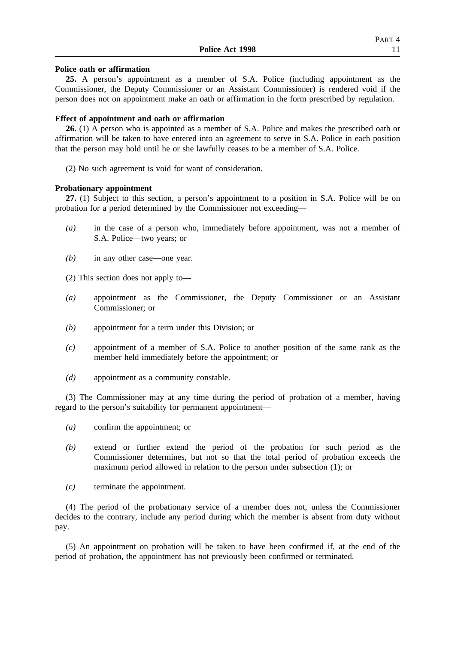#### **Police oath or affirmation**

**25.** A person's appointment as a member of S.A. Police (including appointment as the Commissioner, the Deputy Commissioner or an Assistant Commissioner) is rendered void if the person does not on appointment make an oath or affirmation in the form prescribed by regulation.

## **Effect of appointment and oath or affirmation**

**26.** (1) A person who is appointed as a member of S.A. Police and makes the prescribed oath or affirmation will be taken to have entered into an agreement to serve in S.A. Police in each position that the person may hold until he or she lawfully ceases to be a member of S.A. Police.

(2) No such agreement is void for want of consideration.

## **Probationary appointment**

**27.** (1) Subject to this section, a person's appointment to a position in S.A. Police will be on probation for a period determined by the Commissioner not exceeding—

- *(a)* in the case of a person who, immediately before appointment, was not a member of S.A. Police—two years; or
- *(b)* in any other case—one year.
- (2) This section does not apply to—
- *(a)* appointment as the Commissioner, the Deputy Commissioner or an Assistant Commissioner; or
- *(b)* appointment for a term under this Division; or
- *(c)* appointment of a member of S.A. Police to another position of the same rank as the member held immediately before the appointment; or
- *(d)* appointment as a community constable.

(3) The Commissioner may at any time during the period of probation of a member, having regard to the person's suitability for permanent appointment—

- *(a)* confirm the appointment; or
- *(b)* extend or further extend the period of the probation for such period as the Commissioner determines, but not so that the total period of probation exceeds the maximum period allowed in relation to the person under subsection (1); or
- *(c)* terminate the appointment.

(4) The period of the probationary service of a member does not, unless the Commissioner decides to the contrary, include any period during which the member is absent from duty without pay.

(5) An appointment on probation will be taken to have been confirmed if, at the end of the period of probation, the appointment has not previously been confirmed or terminated.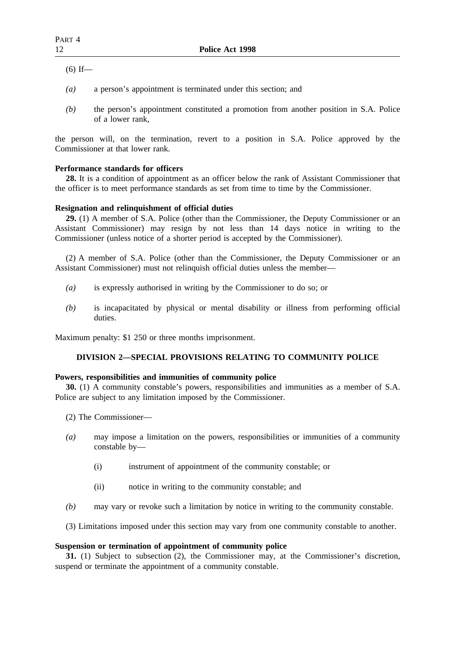$(6)$  If—

- *(a)* a person's appointment is terminated under this section; and
- *(b)* the person's appointment constituted a promotion from another position in S.A. Police of a lower rank,

the person will, on the termination, revert to a position in S.A. Police approved by the Commissioner at that lower rank.

## **Performance standards for officers**

**28.** It is a condition of appointment as an officer below the rank of Assistant Commissioner that the officer is to meet performance standards as set from time to time by the Commissioner.

## **Resignation and relinquishment of official duties**

**29.** (1) A member of S.A. Police (other than the Commissioner, the Deputy Commissioner or an Assistant Commissioner) may resign by not less than 14 days notice in writing to the Commissioner (unless notice of a shorter period is accepted by the Commissioner).

(2) A member of S.A. Police (other than the Commissioner, the Deputy Commissioner or an Assistant Commissioner) must not relinquish official duties unless the member—

- *(a)* is expressly authorised in writing by the Commissioner to do so; or
- *(b)* is incapacitated by physical or mental disability or illness from performing official duties.

Maximum penalty: \$1 250 or three months imprisonment.

## **DIVISION 2—SPECIAL PROVISIONS RELATING TO COMMUNITY POLICE**

## **Powers, responsibilities and immunities of community police**

**30.** (1) A community constable's powers, responsibilities and immunities as a member of S.A. Police are subject to any limitation imposed by the Commissioner.

- (2) The Commissioner—
- *(a)* may impose a limitation on the powers, responsibilities or immunities of a community constable by—
	- (i) instrument of appointment of the community constable; or
	- (ii) notice in writing to the community constable; and
- *(b)* may vary or revoke such a limitation by notice in writing to the community constable.
- (3) Limitations imposed under this section may vary from one community constable to another.

## **Suspension or termination of appointment of community police**

**31.** (1) Subject to subsection (2), the Commissioner may, at the Commissioner's discretion, suspend or terminate the appointment of a community constable.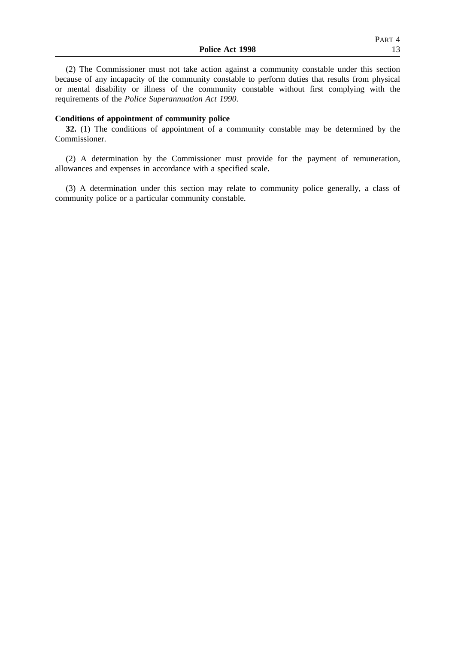(2) The Commissioner must not take action against a community constable under this section because of any incapacity of the community constable to perform duties that results from physical or mental disability or illness of the community constable without first complying with the requirements of the *Police Superannuation Act 1990*.

## **Conditions of appointment of community police**

**32.** (1) The conditions of appointment of a community constable may be determined by the Commissioner.

(2) A determination by the Commissioner must provide for the payment of remuneration, allowances and expenses in accordance with a specified scale.

(3) A determination under this section may relate to community police generally, a class of community police or a particular community constable.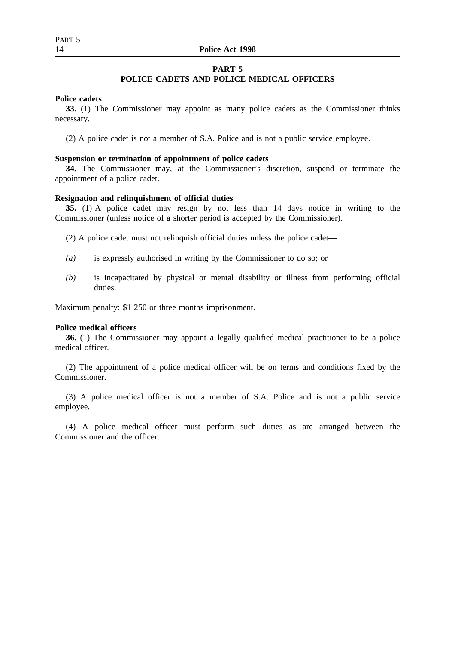## **PART 5**

## **POLICE CADETS AND POLICE MEDICAL OFFICERS**

## **Police cadets**

**33.** (1) The Commissioner may appoint as many police cadets as the Commissioner thinks necessary.

(2) A police cadet is not a member of S.A. Police and is not a public service employee.

#### **Suspension or termination of appointment of police cadets**

**34.** The Commissioner may, at the Commissioner's discretion, suspend or terminate the appointment of a police cadet.

## **Resignation and relinquishment of official duties**

**35.** (1) A police cadet may resign by not less than 14 days notice in writing to the Commissioner (unless notice of a shorter period is accepted by the Commissioner).

(2) A police cadet must not relinquish official duties unless the police cadet—

- *(a)* is expressly authorised in writing by the Commissioner to do so; or
- *(b)* is incapacitated by physical or mental disability or illness from performing official duties.

Maximum penalty: \$1 250 or three months imprisonment.

#### **Police medical officers**

**36.** (1) The Commissioner may appoint a legally qualified medical practitioner to be a police medical officer.

(2) The appointment of a police medical officer will be on terms and conditions fixed by the Commissioner.

(3) A police medical officer is not a member of S.A. Police and is not a public service employee.

(4) A police medical officer must perform such duties as are arranged between the Commissioner and the officer.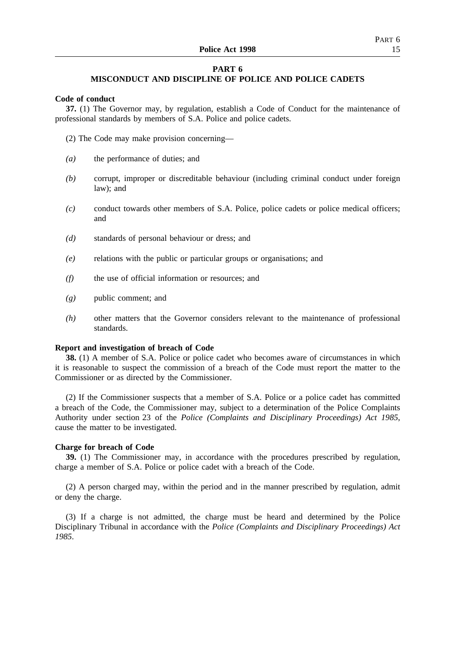## **PART 6**

## **MISCONDUCT AND DISCIPLINE OF POLICE AND POLICE CADETS**

#### **Code of conduct**

**37.** (1) The Governor may, by regulation, establish a Code of Conduct for the maintenance of professional standards by members of S.A. Police and police cadets.

(2) The Code may make provision concerning—

- *(a)* the performance of duties; and
- *(b)* corrupt, improper or discreditable behaviour (including criminal conduct under foreign law); and
- *(c)* conduct towards other members of S.A. Police, police cadets or police medical officers; and
- *(d)* standards of personal behaviour or dress; and
- *(e)* relations with the public or particular groups or organisations; and
- *(f)* the use of official information or resources; and
- *(g)* public comment; and
- *(h)* other matters that the Governor considers relevant to the maintenance of professional standards.

### **Report and investigation of breach of Code**

**38.** (1) A member of S.A. Police or police cadet who becomes aware of circumstances in which it is reasonable to suspect the commission of a breach of the Code must report the matter to the Commissioner or as directed by the Commissioner.

(2) If the Commissioner suspects that a member of S.A. Police or a police cadet has committed a breach of the Code, the Commissioner may, subject to a determination of the Police Complaints Authority under section 23 of the *Police (Complaints and Disciplinary Proceedings) Act 1985*, cause the matter to be investigated.

## **Charge for breach of Code**

**39.** (1) The Commissioner may, in accordance with the procedures prescribed by regulation, charge a member of S.A. Police or police cadet with a breach of the Code.

(2) A person charged may, within the period and in the manner prescribed by regulation, admit or deny the charge.

(3) If a charge is not admitted, the charge must be heard and determined by the Police Disciplinary Tribunal in accordance with the *Police (Complaints and Disciplinary Proceedings) Act 1985*.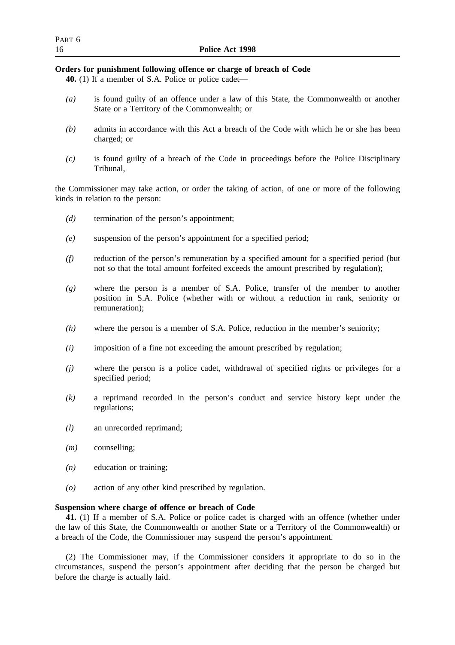## **Orders for punishment following offence or charge of breach of Code**

**40.** (1) If a member of S.A. Police or police cadet—

- *(a)* is found guilty of an offence under a law of this State, the Commonwealth or another State or a Territory of the Commonwealth; or
- *(b)* admits in accordance with this Act a breach of the Code with which he or she has been charged; or
- *(c)* is found guilty of a breach of the Code in proceedings before the Police Disciplinary Tribunal,

the Commissioner may take action, or order the taking of action, of one or more of the following kinds in relation to the person:

- *(d)* termination of the person's appointment;
- *(e)* suspension of the person's appointment for a specified period;
- *(f)* reduction of the person's remuneration by a specified amount for a specified period (but not so that the total amount forfeited exceeds the amount prescribed by regulation);
- *(g)* where the person is a member of S.A. Police, transfer of the member to another position in S.A. Police (whether with or without a reduction in rank, seniority or remuneration);
- *(h)* where the person is a member of S.A. Police, reduction in the member's seniority;
- *(i)* imposition of a fine not exceeding the amount prescribed by regulation;
- *(j)* where the person is a police cadet, withdrawal of specified rights or privileges for a specified period;
- *(k)* a reprimand recorded in the person's conduct and service history kept under the regulations;
- *(l)* an unrecorded reprimand;
- *(m)* counselling;
- *(n)* education or training;
- *(o)* action of any other kind prescribed by regulation.

## **Suspension where charge of offence or breach of Code**

**41.** (1) If a member of S.A. Police or police cadet is charged with an offence (whether under the law of this State, the Commonwealth or another State or a Territory of the Commonwealth) or a breach of the Code, the Commissioner may suspend the person's appointment.

(2) The Commissioner may, if the Commissioner considers it appropriate to do so in the circumstances, suspend the person's appointment after deciding that the person be charged but before the charge is actually laid.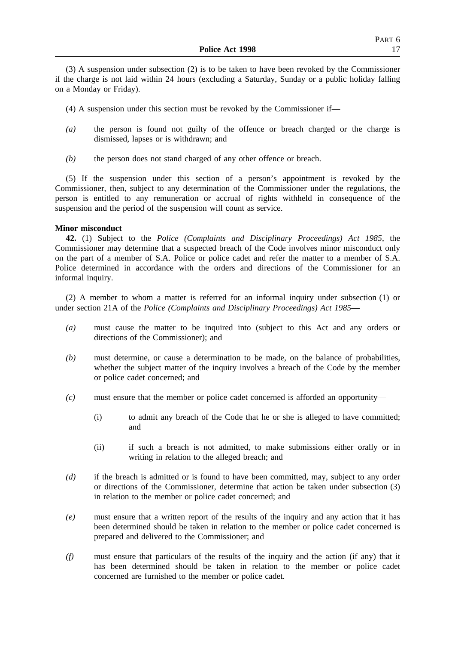(3) A suspension under subsection (2) is to be taken to have been revoked by the Commissioner if the charge is not laid within 24 hours (excluding a Saturday, Sunday or a public holiday falling on a Monday or Friday).

- (4) A suspension under this section must be revoked by the Commissioner if—
- *(a)* the person is found not guilty of the offence or breach charged or the charge is dismissed, lapses or is withdrawn; and
- *(b)* the person does not stand charged of any other offence or breach.

(5) If the suspension under this section of a person's appointment is revoked by the Commissioner, then, subject to any determination of the Commissioner under the regulations, the person is entitled to any remuneration or accrual of rights withheld in consequence of the suspension and the period of the suspension will count as service.

## **Minor misconduct**

**42.** (1) Subject to the *Police (Complaints and Disciplinary Proceedings) Act 1985*, the Commissioner may determine that a suspected breach of the Code involves minor misconduct only on the part of a member of S.A. Police or police cadet and refer the matter to a member of S.A. Police determined in accordance with the orders and directions of the Commissioner for an informal inquiry.

(2) A member to whom a matter is referred for an informal inquiry under subsection (1) or under section 21A of the *Police (Complaints and Disciplinary Proceedings) Act 1985*—

- *(a)* must cause the matter to be inquired into (subject to this Act and any orders or directions of the Commissioner); and
- *(b)* must determine, or cause a determination to be made, on the balance of probabilities, whether the subject matter of the inquiry involves a breach of the Code by the member or police cadet concerned; and
- *(c)* must ensure that the member or police cadet concerned is afforded an opportunity—
	- (i) to admit any breach of the Code that he or she is alleged to have committed; and
	- (ii) if such a breach is not admitted, to make submissions either orally or in writing in relation to the alleged breach; and
- *(d)* if the breach is admitted or is found to have been committed, may, subject to any order or directions of the Commissioner, determine that action be taken under subsection (3) in relation to the member or police cadet concerned; and
- *(e)* must ensure that a written report of the results of the inquiry and any action that it has been determined should be taken in relation to the member or police cadet concerned is prepared and delivered to the Commissioner; and
- *(f)* must ensure that particulars of the results of the inquiry and the action (if any) that it has been determined should be taken in relation to the member or police cadet concerned are furnished to the member or police cadet.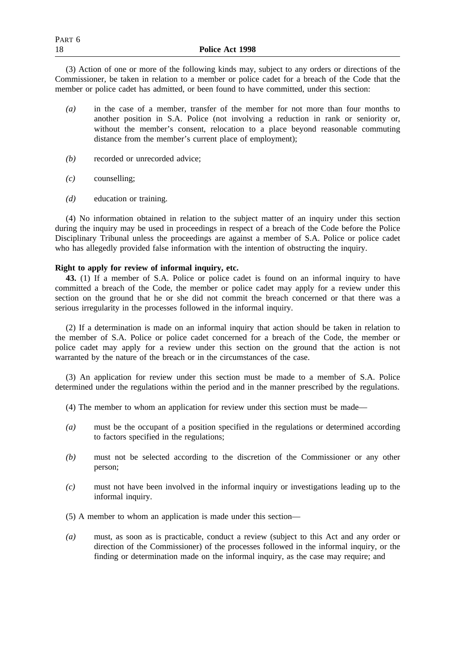(3) Action of one or more of the following kinds may, subject to any orders or directions of the Commissioner, be taken in relation to a member or police cadet for a breach of the Code that the member or police cadet has admitted, or been found to have committed, under this section:

- *(a)* in the case of a member, transfer of the member for not more than four months to another position in S.A. Police (not involving a reduction in rank or seniority or, without the member's consent, relocation to a place beyond reasonable commuting distance from the member's current place of employment);
- *(b)* recorded or unrecorded advice;
- *(c)* counselling;
- *(d)* education or training.

(4) No information obtained in relation to the subject matter of an inquiry under this section during the inquiry may be used in proceedings in respect of a breach of the Code before the Police Disciplinary Tribunal unless the proceedings are against a member of S.A. Police or police cadet who has allegedly provided false information with the intention of obstructing the inquiry.

## **Right to apply for review of informal inquiry, etc.**

**43.** (1) If a member of S.A. Police or police cadet is found on an informal inquiry to have committed a breach of the Code, the member or police cadet may apply for a review under this section on the ground that he or she did not commit the breach concerned or that there was a serious irregularity in the processes followed in the informal inquiry.

(2) If a determination is made on an informal inquiry that action should be taken in relation to the member of S.A. Police or police cadet concerned for a breach of the Code, the member or police cadet may apply for a review under this section on the ground that the action is not warranted by the nature of the breach or in the circumstances of the case.

(3) An application for review under this section must be made to a member of S.A. Police determined under the regulations within the period and in the manner prescribed by the regulations.

- (4) The member to whom an application for review under this section must be made—
- *(a)* must be the occupant of a position specified in the regulations or determined according to factors specified in the regulations;
- *(b)* must not be selected according to the discretion of the Commissioner or any other person;
- *(c)* must not have been involved in the informal inquiry or investigations leading up to the informal inquiry.
- (5) A member to whom an application is made under this section—
- *(a)* must, as soon as is practicable, conduct a review (subject to this Act and any order or direction of the Commissioner) of the processes followed in the informal inquiry, or the finding or determination made on the informal inquiry, as the case may require; and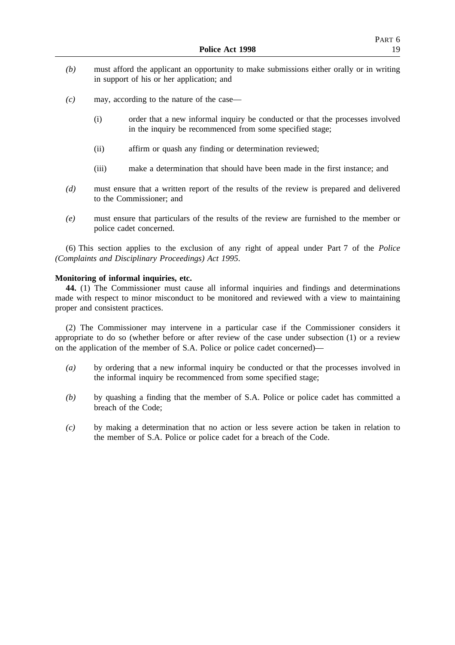- *(b)* must afford the applicant an opportunity to make submissions either orally or in writing in support of his or her application; and
- *(c)* may, according to the nature of the case—
	- (i) order that a new informal inquiry be conducted or that the processes involved in the inquiry be recommenced from some specified stage;
	- (ii) affirm or quash any finding or determination reviewed;
	- (iii) make a determination that should have been made in the first instance; and
- *(d)* must ensure that a written report of the results of the review is prepared and delivered to the Commissioner; and
- *(e)* must ensure that particulars of the results of the review are furnished to the member or police cadet concerned.

(6) This section applies to the exclusion of any right of appeal under Part 7 of the *Police (Complaints and Disciplinary Proceedings) Act 1995*.

#### **Monitoring of informal inquiries, etc.**

**44.** (1) The Commissioner must cause all informal inquiries and findings and determinations made with respect to minor misconduct to be monitored and reviewed with a view to maintaining proper and consistent practices.

(2) The Commissioner may intervene in a particular case if the Commissioner considers it appropriate to do so (whether before or after review of the case under subsection (1) or a review on the application of the member of S.A. Police or police cadet concerned)—

- *(a)* by ordering that a new informal inquiry be conducted or that the processes involved in the informal inquiry be recommenced from some specified stage;
- *(b)* by quashing a finding that the member of S.A. Police or police cadet has committed a breach of the Code;
- *(c)* by making a determination that no action or less severe action be taken in relation to the member of S.A. Police or police cadet for a breach of the Code.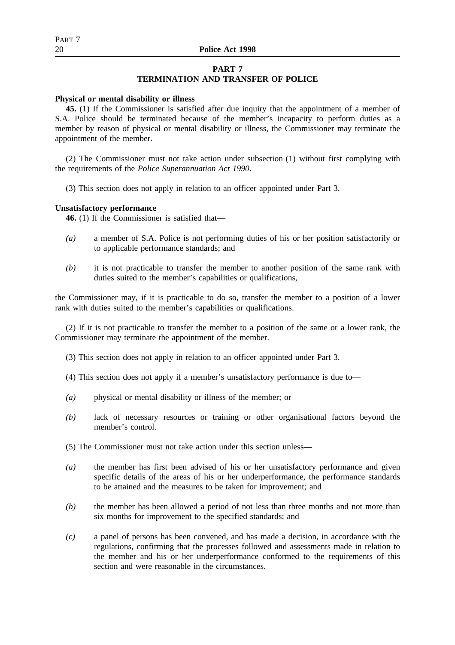## **PART 7**

## **TERMINATION AND TRANSFER OF POLICE**

## **Physical or mental disability or illness**

**45.** (1) If the Commissioner is satisfied after due inquiry that the appointment of a member of S.A. Police should be terminated because of the member's incapacity to perform duties as a member by reason of physical or mental disability or illness, the Commissioner may terminate the appointment of the member.

(2) The Commissioner must not take action under subsection (1) without first complying with the requirements of the *Police Superannuation Act 1990*.

(3) This section does not apply in relation to an officer appointed under Part 3.

## **Unsatisfactory performance**

**46.** (1) If the Commissioner is satisfied that—

- *(a)* a member of S.A. Police is not performing duties of his or her position satisfactorily or to applicable performance standards; and
- *(b)* it is not practicable to transfer the member to another position of the same rank with duties suited to the member's capabilities or qualifications,

the Commissioner may, if it is practicable to do so, transfer the member to a position of a lower rank with duties suited to the member's capabilities or qualifications.

(2) If it is not practicable to transfer the member to a position of the same or a lower rank, the Commissioner may terminate the appointment of the member.

- (3) This section does not apply in relation to an officer appointed under Part 3.
- (4) This section does not apply if a member's unsatisfactory performance is due to—
- *(a)* physical or mental disability or illness of the member; or
- *(b)* lack of necessary resources or training or other organisational factors beyond the member's control.
- (5) The Commissioner must not take action under this section unless—
- *(a)* the member has first been advised of his or her unsatisfactory performance and given specific details of the areas of his or her underperformance, the performance standards to be attained and the measures to be taken for improvement; and
- *(b)* the member has been allowed a period of not less than three months and not more than six months for improvement to the specified standards; and
- *(c)* a panel of persons has been convened, and has made a decision, in accordance with the regulations, confirming that the processes followed and assessments made in relation to the member and his or her underperformance conformed to the requirements of this section and were reasonable in the circumstances.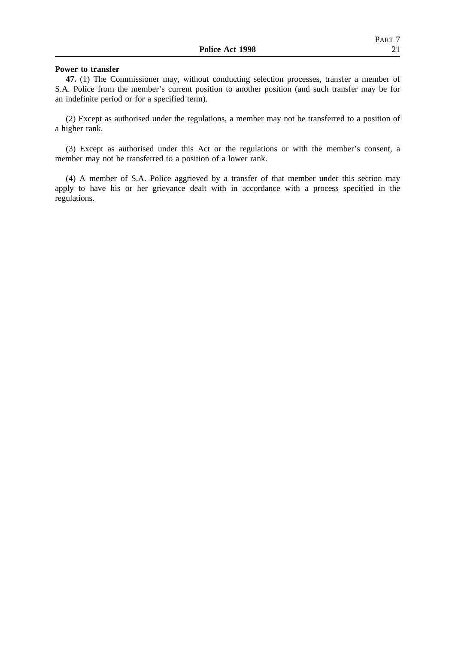#### **Power to transfer**

**47.** (1) The Commissioner may, without conducting selection processes, transfer a member of S.A. Police from the member's current position to another position (and such transfer may be for an indefinite period or for a specified term).

(2) Except as authorised under the regulations, a member may not be transferred to a position of a higher rank.

(3) Except as authorised under this Act or the regulations or with the member's consent, a member may not be transferred to a position of a lower rank.

(4) A member of S.A. Police aggrieved by a transfer of that member under this section may apply to have his or her grievance dealt with in accordance with a process specified in the regulations.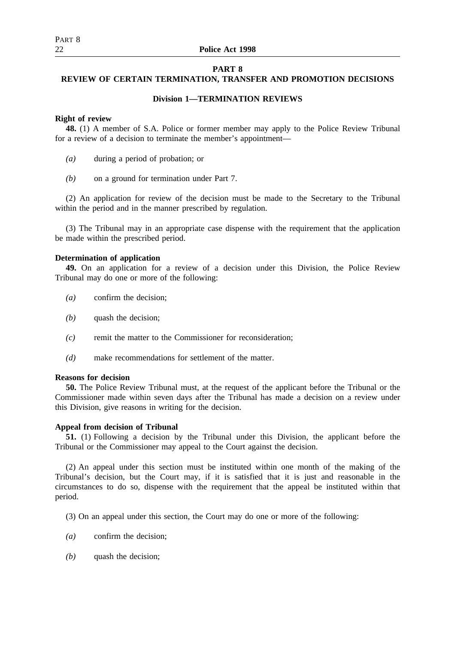## **PART 8**

## **REVIEW OF CERTAIN TERMINATION, TRANSFER AND PROMOTION DECISIONS**

## **Division 1—TERMINATION REVIEWS**

## **Right of review**

**48.** (1) A member of S.A. Police or former member may apply to the Police Review Tribunal for a review of a decision to terminate the member's appointment—

- *(a)* during a period of probation; or
- *(b)* on a ground for termination under Part 7.

(2) An application for review of the decision must be made to the Secretary to the Tribunal within the period and in the manner prescribed by regulation.

(3) The Tribunal may in an appropriate case dispense with the requirement that the application be made within the prescribed period.

## **Determination of application**

**49.** On an application for a review of a decision under this Division, the Police Review Tribunal may do one or more of the following:

- *(a)* confirm the decision;
- *(b)* quash the decision;
- *(c)* remit the matter to the Commissioner for reconsideration;
- *(d)* make recommendations for settlement of the matter.

## **Reasons for decision**

**50.** The Police Review Tribunal must, at the request of the applicant before the Tribunal or the Commissioner made within seven days after the Tribunal has made a decision on a review under this Division, give reasons in writing for the decision.

## **Appeal from decision of Tribunal**

**51.** (1) Following a decision by the Tribunal under this Division, the applicant before the Tribunal or the Commissioner may appeal to the Court against the decision.

(2) An appeal under this section must be instituted within one month of the making of the Tribunal's decision, but the Court may, if it is satisfied that it is just and reasonable in the circumstances to do so, dispense with the requirement that the appeal be instituted within that period.

(3) On an appeal under this section, the Court may do one or more of the following:

- *(a)* confirm the decision;
- *(b)* quash the decision;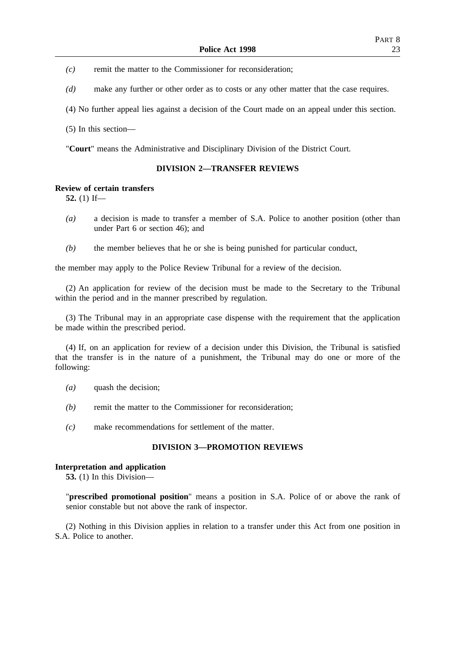*(c)* remit the matter to the Commissioner for reconsideration;

*(d)* make any further or other order as to costs or any other matter that the case requires.

(4) No further appeal lies against a decision of the Court made on an appeal under this section.

(5) In this section—

"**Court**" means the Administrative and Disciplinary Division of the District Court.

## **DIVISION 2—TRANSFER REVIEWS**

## **Review of certain transfers**

**52.** (1) If—

- *(a)* a decision is made to transfer a member of S.A. Police to another position (other than under Part 6 or section 46); and
- *(b)* the member believes that he or she is being punished for particular conduct,

the member may apply to the Police Review Tribunal for a review of the decision.

(2) An application for review of the decision must be made to the Secretary to the Tribunal within the period and in the manner prescribed by regulation.

(3) The Tribunal may in an appropriate case dispense with the requirement that the application be made within the prescribed period.

(4) If, on an application for review of a decision under this Division, the Tribunal is satisfied that the transfer is in the nature of a punishment, the Tribunal may do one or more of the following:

- *(a)* quash the decision;
- *(b)* remit the matter to the Commissioner for reconsideration;
- *(c)* make recommendations for settlement of the matter.

## **DIVISION 3—PROMOTION REVIEWS**

## **Interpretation and application**

**53.** (1) In this Division—

"**prescribed promotional position**" means a position in S.A. Police of or above the rank of senior constable but not above the rank of inspector.

(2) Nothing in this Division applies in relation to a transfer under this Act from one position in S.A. Police to another.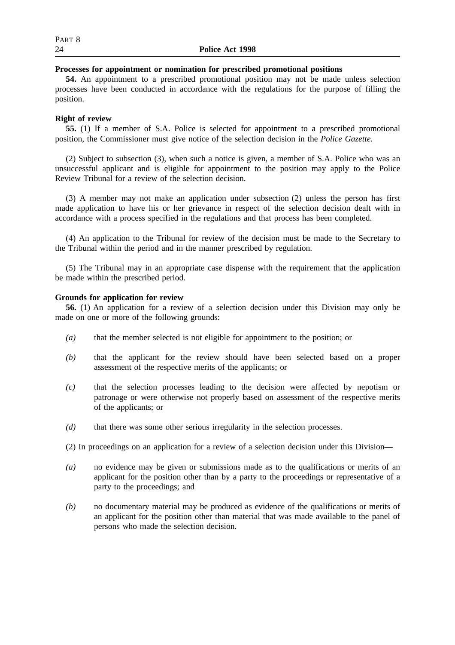## **Processes for appointment or nomination for prescribed promotional positions**

**54.** An appointment to a prescribed promotional position may not be made unless selection processes have been conducted in accordance with the regulations for the purpose of filling the position.

## **Right of review**

**55.** (1) If a member of S.A. Police is selected for appointment to a prescribed promotional position, the Commissioner must give notice of the selection decision in the *Police Gazette*.

(2) Subject to subsection (3), when such a notice is given, a member of S.A. Police who was an unsuccessful applicant and is eligible for appointment to the position may apply to the Police Review Tribunal for a review of the selection decision.

(3) A member may not make an application under subsection (2) unless the person has first made application to have his or her grievance in respect of the selection decision dealt with in accordance with a process specified in the regulations and that process has been completed.

(4) An application to the Tribunal for review of the decision must be made to the Secretary to the Tribunal within the period and in the manner prescribed by regulation.

(5) The Tribunal may in an appropriate case dispense with the requirement that the application be made within the prescribed period.

## **Grounds for application for review**

**56.** (1) An application for a review of a selection decision under this Division may only be made on one or more of the following grounds:

- *(a)* that the member selected is not eligible for appointment to the position; or
- *(b)* that the applicant for the review should have been selected based on a proper assessment of the respective merits of the applicants; or
- *(c)* that the selection processes leading to the decision were affected by nepotism or patronage or were otherwise not properly based on assessment of the respective merits of the applicants; or
- *(d)* that there was some other serious irregularity in the selection processes.

(2) In proceedings on an application for a review of a selection decision under this Division—

- *(a)* no evidence may be given or submissions made as to the qualifications or merits of an applicant for the position other than by a party to the proceedings or representative of a party to the proceedings; and
- *(b)* no documentary material may be produced as evidence of the qualifications or merits of an applicant for the position other than material that was made available to the panel of persons who made the selection decision.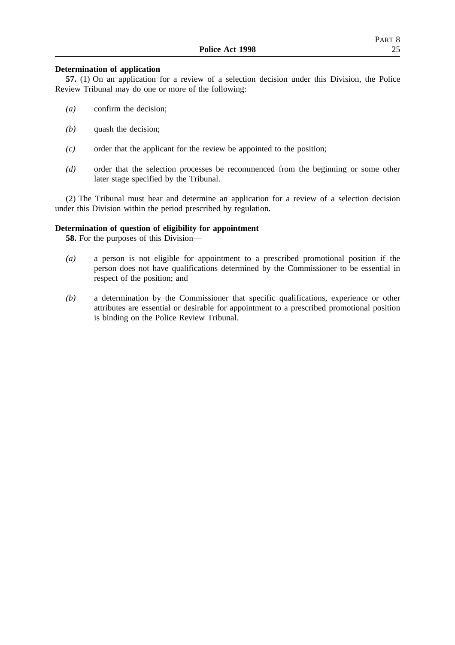## **Determination of application**

**57.** (1) On an application for a review of a selection decision under this Division, the Police Review Tribunal may do one or more of the following:

- *(a)* confirm the decision;
- *(b)* quash the decision;
- *(c)* order that the applicant for the review be appointed to the position;
- *(d)* order that the selection processes be recommenced from the beginning or some other later stage specified by the Tribunal.

(2) The Tribunal must hear and determine an application for a review of a selection decision under this Division within the period prescribed by regulation.

## **Determination of question of eligibility for appointment**

**58.** For the purposes of this Division—

- *(a)* a person is not eligible for appointment to a prescribed promotional position if the person does not have qualifications determined by the Commissioner to be essential in respect of the position; and
- *(b)* a determination by the Commissioner that specific qualifications, experience or other attributes are essential or desirable for appointment to a prescribed promotional position is binding on the Police Review Tribunal.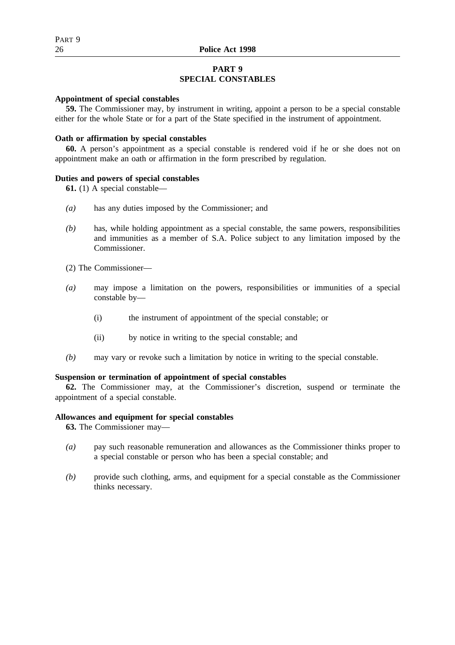## **PART 9 SPECIAL CONSTABLES**

## **Appointment of special constables**

**59.** The Commissioner may, by instrument in writing, appoint a person to be a special constable either for the whole State or for a part of the State specified in the instrument of appointment.

## **Oath or affirmation by special constables**

**60.** A person's appointment as a special constable is rendered void if he or she does not on appointment make an oath or affirmation in the form prescribed by regulation.

## **Duties and powers of special constables**

**61.** (1) A special constable—

- *(a)* has any duties imposed by the Commissioner; and
- *(b)* has, while holding appointment as a special constable, the same powers, responsibilities and immunities as a member of S.A. Police subject to any limitation imposed by the Commissioner.
- (2) The Commissioner—
- *(a)* may impose a limitation on the powers, responsibilities or immunities of a special constable by—
	- (i) the instrument of appointment of the special constable; or
	- (ii) by notice in writing to the special constable; and
- *(b)* may vary or revoke such a limitation by notice in writing to the special constable.

## **Suspension or termination of appointment of special constables**

**62.** The Commissioner may, at the Commissioner's discretion, suspend or terminate the appointment of a special constable.

## **Allowances and equipment for special constables**

**63.** The Commissioner may—

- *(a)* pay such reasonable remuneration and allowances as the Commissioner thinks proper to a special constable or person who has been a special constable; and
- *(b)* provide such clothing, arms, and equipment for a special constable as the Commissioner thinks necessary.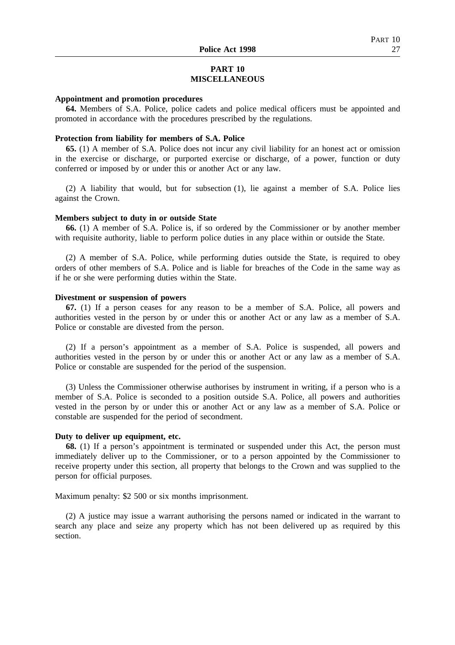## **PART 10 MISCELLANEOUS**

#### **Appointment and promotion procedures**

**64.** Members of S.A. Police, police cadets and police medical officers must be appointed and promoted in accordance with the procedures prescribed by the regulations.

## **Protection from liability for members of S.A. Police**

**65.** (1) A member of S.A. Police does not incur any civil liability for an honest act or omission in the exercise or discharge, or purported exercise or discharge, of a power, function or duty conferred or imposed by or under this or another Act or any law.

(2) A liability that would, but for subsection (1), lie against a member of S.A. Police lies against the Crown.

#### **Members subject to duty in or outside State**

**66.** (1) A member of S.A. Police is, if so ordered by the Commissioner or by another member with requisite authority, liable to perform police duties in any place within or outside the State.

(2) A member of S.A. Police, while performing duties outside the State, is required to obey orders of other members of S.A. Police and is liable for breaches of the Code in the same way as if he or she were performing duties within the State.

## **Divestment or suspension of powers**

**67.** (1) If a person ceases for any reason to be a member of S.A. Police, all powers and authorities vested in the person by or under this or another Act or any law as a member of S.A. Police or constable are divested from the person.

(2) If a person's appointment as a member of S.A. Police is suspended, all powers and authorities vested in the person by or under this or another Act or any law as a member of S.A. Police or constable are suspended for the period of the suspension.

(3) Unless the Commissioner otherwise authorises by instrument in writing, if a person who is a member of S.A. Police is seconded to a position outside S.A. Police, all powers and authorities vested in the person by or under this or another Act or any law as a member of S.A. Police or constable are suspended for the period of secondment.

#### **Duty to deliver up equipment, etc.**

**68.** (1) If a person's appointment is terminated or suspended under this Act, the person must immediately deliver up to the Commissioner, or to a person appointed by the Commissioner to receive property under this section, all property that belongs to the Crown and was supplied to the person for official purposes.

Maximum penalty: \$2 500 or six months imprisonment.

(2) A justice may issue a warrant authorising the persons named or indicated in the warrant to search any place and seize any property which has not been delivered up as required by this section.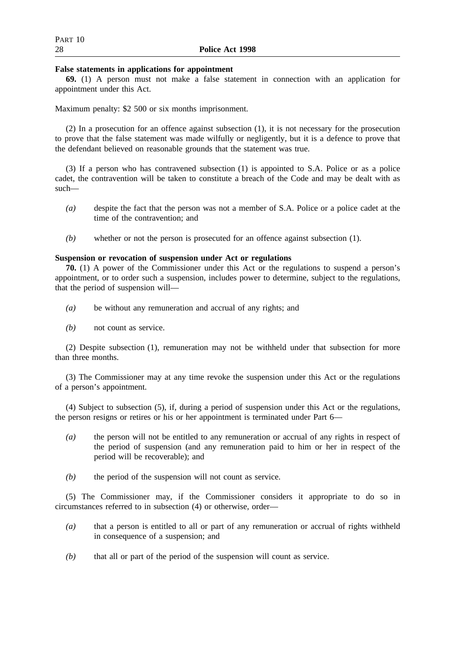## **False statements in applications for appointment**

**69.** (1) A person must not make a false statement in connection with an application for appointment under this Act.

Maximum penalty: \$2 500 or six months imprisonment.

(2) In a prosecution for an offence against subsection (1), it is not necessary for the prosecution to prove that the false statement was made wilfully or negligently, but it is a defence to prove that the defendant believed on reasonable grounds that the statement was true.

(3) If a person who has contravened subsection (1) is appointed to S.A. Police or as a police cadet, the contravention will be taken to constitute a breach of the Code and may be dealt with as such—

- *(a)* despite the fact that the person was not a member of S.A. Police or a police cadet at the time of the contravention; and
- *(b)* whether or not the person is prosecuted for an offence against subsection (1).

## **Suspension or revocation of suspension under Act or regulations**

**70.** (1) A power of the Commissioner under this Act or the regulations to suspend a person's appointment, or to order such a suspension, includes power to determine, subject to the regulations, that the period of suspension will—

- *(a)* be without any remuneration and accrual of any rights; and
- *(b)* not count as service.

(2) Despite subsection (1), remuneration may not be withheld under that subsection for more than three months.

(3) The Commissioner may at any time revoke the suspension under this Act or the regulations of a person's appointment.

(4) Subject to subsection (5), if, during a period of suspension under this Act or the regulations, the person resigns or retires or his or her appointment is terminated under Part 6—

- *(a)* the person will not be entitled to any remuneration or accrual of any rights in respect of the period of suspension (and any remuneration paid to him or her in respect of the period will be recoverable); and
- *(b)* the period of the suspension will not count as service.

(5) The Commissioner may, if the Commissioner considers it appropriate to do so in circumstances referred to in subsection (4) or otherwise, order—

- *(a)* that a person is entitled to all or part of any remuneration or accrual of rights withheld in consequence of a suspension; and
- *(b)* that all or part of the period of the suspension will count as service.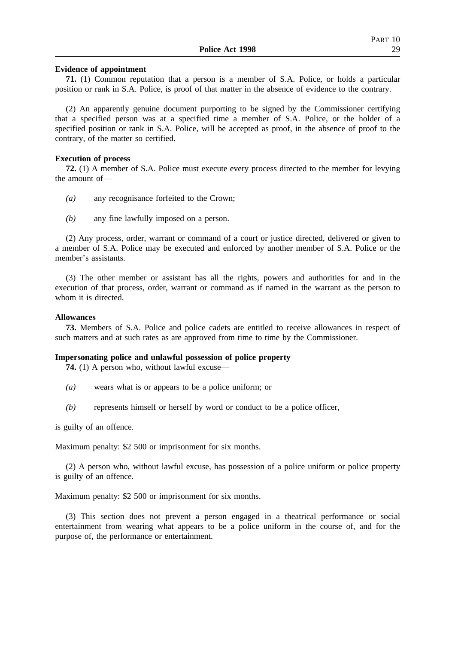## **Evidence of appointment**

**71.** (1) Common reputation that a person is a member of S.A. Police, or holds a particular position or rank in S.A. Police, is proof of that matter in the absence of evidence to the contrary.

(2) An apparently genuine document purporting to be signed by the Commissioner certifying that a specified person was at a specified time a member of S.A. Police, or the holder of a specified position or rank in S.A. Police, will be accepted as proof, in the absence of proof to the contrary, of the matter so certified.

#### **Execution of process**

**72.** (1) A member of S.A. Police must execute every process directed to the member for levying the amount of—

- *(a)* any recognisance forfeited to the Crown;
- *(b)* any fine lawfully imposed on a person.

(2) Any process, order, warrant or command of a court or justice directed, delivered or given to a member of S.A. Police may be executed and enforced by another member of S.A. Police or the member's assistants.

(3) The other member or assistant has all the rights, powers and authorities for and in the execution of that process, order, warrant or command as if named in the warrant as the person to whom it is directed.

#### **Allowances**

**73.** Members of S.A. Police and police cadets are entitled to receive allowances in respect of such matters and at such rates as are approved from time to time by the Commissioner.

#### **Impersonating police and unlawful possession of police property**

**74.** (1) A person who, without lawful excuse—

- *(a)* wears what is or appears to be a police uniform; or
- *(b)* represents himself or herself by word or conduct to be a police officer,

is guilty of an offence.

Maximum penalty: \$2 500 or imprisonment for six months.

(2) A person who, without lawful excuse, has possession of a police uniform or police property is guilty of an offence.

Maximum penalty: \$2 500 or imprisonment for six months.

(3) This section does not prevent a person engaged in a theatrical performance or social entertainment from wearing what appears to be a police uniform in the course of, and for the purpose of, the performance or entertainment.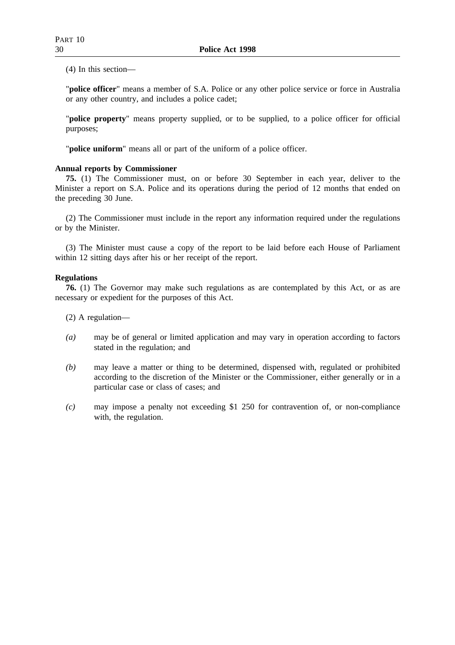(4) In this section—

"**police officer**" means a member of S.A. Police or any other police service or force in Australia or any other country, and includes a police cadet;

"**police property**" means property supplied, or to be supplied, to a police officer for official purposes;

"**police uniform**" means all or part of the uniform of a police officer.

## **Annual reports by Commissioner**

**75.** (1) The Commissioner must, on or before 30 September in each year, deliver to the Minister a report on S.A. Police and its operations during the period of 12 months that ended on the preceding 30 June.

(2) The Commissioner must include in the report any information required under the regulations or by the Minister.

(3) The Minister must cause a copy of the report to be laid before each House of Parliament within 12 sitting days after his or her receipt of the report.

## **Regulations**

**76.** (1) The Governor may make such regulations as are contemplated by this Act, or as are necessary or expedient for the purposes of this Act.

(2) A regulation—

- *(a)* may be of general or limited application and may vary in operation according to factors stated in the regulation; and
- *(b)* may leave a matter or thing to be determined, dispensed with, regulated or prohibited according to the discretion of the Minister or the Commissioner, either generally or in a particular case or class of cases; and
- *(c)* may impose a penalty not exceeding \$1 250 for contravention of, or non-compliance with, the regulation.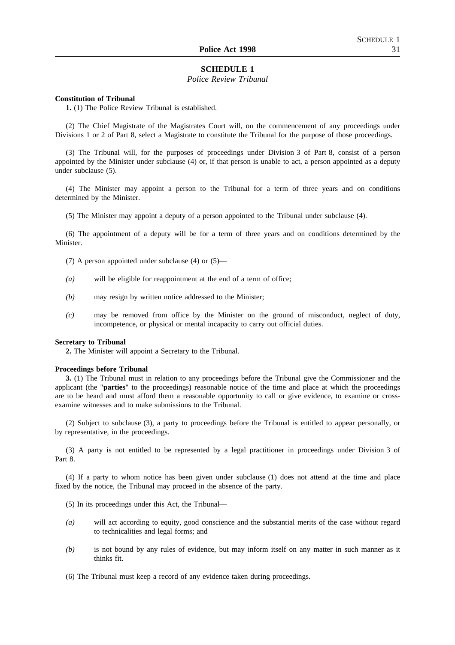## **SCHEDULE 1**

#### *Police Review Tribunal*

#### **Constitution of Tribunal**

**1.** (1) The Police Review Tribunal is established.

(2) The Chief Magistrate of the Magistrates Court will, on the commencement of any proceedings under Divisions 1 or 2 of Part 8, select a Magistrate to constitute the Tribunal for the purpose of those proceedings.

(3) The Tribunal will, for the purposes of proceedings under Division 3 of Part 8, consist of a person appointed by the Minister under subclause (4) or, if that person is unable to act, a person appointed as a deputy under subclause (5).

(4) The Minister may appoint a person to the Tribunal for a term of three years and on conditions determined by the Minister.

(5) The Minister may appoint a deputy of a person appointed to the Tribunal under subclause (4).

(6) The appointment of a deputy will be for a term of three years and on conditions determined by the Minister.

- (7) A person appointed under subclause (4) or (5)—
- *(a)* will be eligible for reappointment at the end of a term of office;
- *(b)* may resign by written notice addressed to the Minister;
- *(c)* may be removed from office by the Minister on the ground of misconduct, neglect of duty, incompetence, or physical or mental incapacity to carry out official duties.

#### **Secretary to Tribunal**

**2.** The Minister will appoint a Secretary to the Tribunal.

#### **Proceedings before Tribunal**

**3.** (1) The Tribunal must in relation to any proceedings before the Tribunal give the Commissioner and the applicant (the "**parties**" to the proceedings) reasonable notice of the time and place at which the proceedings are to be heard and must afford them a reasonable opportunity to call or give evidence, to examine or crossexamine witnesses and to make submissions to the Tribunal.

(2) Subject to subclause (3), a party to proceedings before the Tribunal is entitled to appear personally, or by representative, in the proceedings.

(3) A party is not entitled to be represented by a legal practitioner in proceedings under Division 3 of Part 8.

(4) If a party to whom notice has been given under subclause (1) does not attend at the time and place fixed by the notice, the Tribunal may proceed in the absence of the party.

- (5) In its proceedings under this Act, the Tribunal—
- *(a)* will act according to equity, good conscience and the substantial merits of the case without regard to technicalities and legal forms; and
- *(b)* is not bound by any rules of evidence, but may inform itself on any matter in such manner as it thinks fit.
- (6) The Tribunal must keep a record of any evidence taken during proceedings.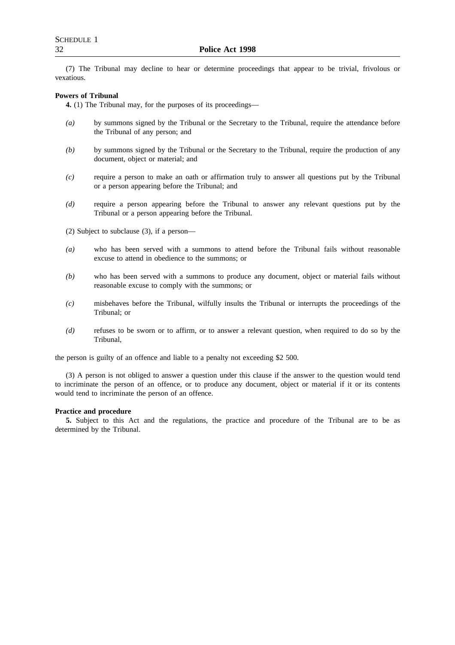(7) The Tribunal may decline to hear or determine proceedings that appear to be trivial, frivolous or vexatious.

#### **Powers of Tribunal**

**4.** (1) The Tribunal may, for the purposes of its proceedings—

- *(a)* by summons signed by the Tribunal or the Secretary to the Tribunal, require the attendance before the Tribunal of any person; and
- *(b)* by summons signed by the Tribunal or the Secretary to the Tribunal, require the production of any document, object or material; and
- *(c)* require a person to make an oath or affirmation truly to answer all questions put by the Tribunal or a person appearing before the Tribunal; and
- *(d)* require a person appearing before the Tribunal to answer any relevant questions put by the Tribunal or a person appearing before the Tribunal.
- (2) Subject to subclause (3), if a person—
- *(a)* who has been served with a summons to attend before the Tribunal fails without reasonable excuse to attend in obedience to the summons; or
- *(b)* who has been served with a summons to produce any document, object or material fails without reasonable excuse to comply with the summons; or
- *(c)* misbehaves before the Tribunal, wilfully insults the Tribunal or interrupts the proceedings of the Tribunal; or
- *(d)* refuses to be sworn or to affirm, or to answer a relevant question, when required to do so by the Tribunal,

the person is guilty of an offence and liable to a penalty not exceeding \$2 500.

(3) A person is not obliged to answer a question under this clause if the answer to the question would tend to incriminate the person of an offence, or to produce any document, object or material if it or its contents would tend to incriminate the person of an offence.

#### **Practice and procedure**

**5.** Subject to this Act and the regulations, the practice and procedure of the Tribunal are to be as determined by the Tribunal.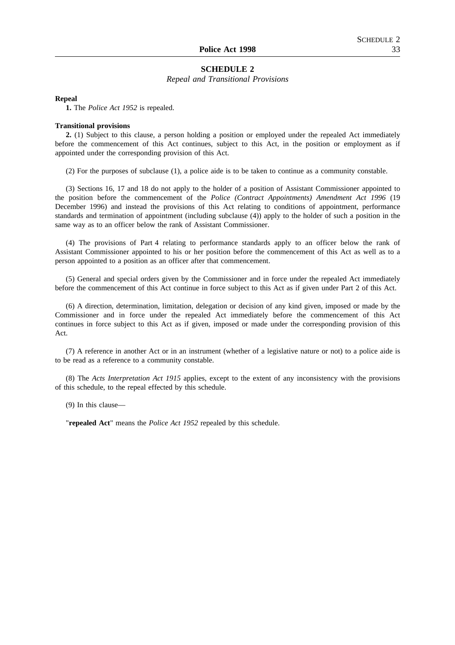## **SCHEDULE 2**

#### *Repeal and Transitional Provisions*

#### **Repeal**

**1.** The *Police Act 1952* is repealed.

#### **Transitional provisions**

**2.** (1) Subject to this clause, a person holding a position or employed under the repealed Act immediately before the commencement of this Act continues, subject to this Act, in the position or employment as if appointed under the corresponding provision of this Act.

(2) For the purposes of subclause (1), a police aide is to be taken to continue as a community constable.

(3) Sections 16, 17 and 18 do not apply to the holder of a position of Assistant Commissioner appointed to the position before the commencement of the *Police (Contract Appointments) Amendment Act 1996* (19 December 1996) and instead the provisions of this Act relating to conditions of appointment, performance standards and termination of appointment (including subclause (4)) apply to the holder of such a position in the same way as to an officer below the rank of Assistant Commissioner.

(4) The provisions of Part 4 relating to performance standards apply to an officer below the rank of Assistant Commissioner appointed to his or her position before the commencement of this Act as well as to a person appointed to a position as an officer after that commencement.

(5) General and special orders given by the Commissioner and in force under the repealed Act immediately before the commencement of this Act continue in force subject to this Act as if given under Part 2 of this Act.

(6) A direction, determination, limitation, delegation or decision of any kind given, imposed or made by the Commissioner and in force under the repealed Act immediately before the commencement of this Act continues in force subject to this Act as if given, imposed or made under the corresponding provision of this Act.

(7) A reference in another Act or in an instrument (whether of a legislative nature or not) to a police aide is to be read as a reference to a community constable.

(8) The *Acts Interpretation Act 1915* applies, except to the extent of any inconsistency with the provisions of this schedule, to the repeal effected by this schedule.

(9) In this clause—

"**repealed Act**" means the *Police Act 1952* repealed by this schedule.